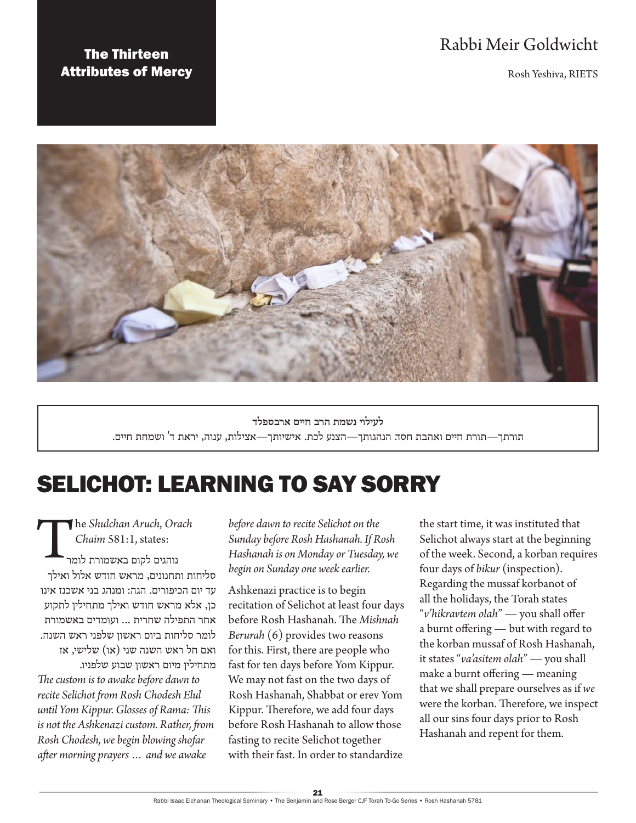# Rabbi Meir Goldwicht

Rosh Yeshiva, RIETS

## The Thirteen Attributes of Mercy



**לעילוי נשמת הרב חיים ארבספלד** תורתך—תורת חיים ואהבת חסד. הנהגותך—הצנע לכת. אישיותך—אצילות, ענוה, יראת ד' ושמחת חיים.

# SELICHOT: LEARNING TO SAY SORRY

The *Shulchan Aruch*, *Orach Chaim* 581:1, states: נוהגים לקום באשמורת לומר סליחות ותחנונים, מראש חודש אלול ואילך עד יום הכיפורים. הגה: ומנהג בני אשכנז אינו כן, אלא מראש חודש ואילך מתחילין לתקוע אחר התפילה שחרית ... ועומדים באשמורת לומר סליחות ביום ראשון שלפני ראש השנה. ואם חל ראש השנה שני (או) שלישי, אז מתחילין מיום ראשון שבוע שלפניו. *The custom is to awake before dawn to recite Selichot from Rosh Chodesh Elul until Yom Kippur. Glosses of Rama: This is not the Ashkenazi custom. Rather, from Rosh Chodesh, we begin blowing shofar after morning prayers … and we awake* 

*before dawn to recite Selichot on the Sunday before Rosh Hashanah. If Rosh Hashanah is on Monday or Tuesday, we begin on Sunday one week earlier.*

Ashkenazi practice is to begin recitation of Selichot at least four days before Rosh Hashanah. The *Mishnah Berurah* (6) provides two reasons for this. First, there are people who fast for ten days before Yom Kippur. We may not fast on the two days of Rosh Hashanah, Shabbat or erev Yom Kippur. Therefore, we add four days before Rosh Hashanah to allow those fasting to recite Selichot together with their fast. In order to standardize

the start time, it was instituted that Selichot always start at the beginning of the week. Second, a korban requires four days of *bikur* (inspection). Regarding the mussaf korbanot of all the holidays, the Torah states "*v'hikravtem olah*" — you shall offer a burnt offering — but with regard to the korban mussaf of Rosh Hashanah, it states "*va'asitem olah*" — you shall make a burnt offering — meaning that we shall prepare ourselves as if *we* were the korban. Therefore, we inspect all our sins four days prior to Rosh Hashanah and repent for them.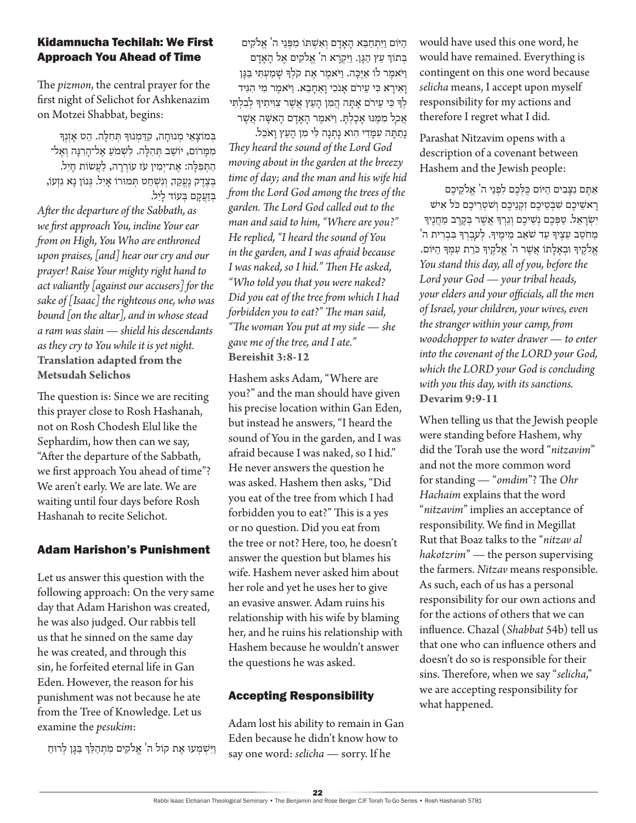#### Kidamnucha Techilah: We First Approach You Ahead of Time

The *pizmon*, the central prayer for the first night of Selichot for Ashkenazim on Motzei Shabbat, begins:

בְמוֹצַאֵי מְנוּחַה, קִדַּמְנוּךְּ תְּחָלַה. הַט אַזְנִךְּ ממרום, יושֵב תְּהִלַּה. לִשְׁמֹעַ אֵל־הָרְנָּה וְאֵל־ הַתִּפְלָה: אֵת־יִמְין עֹז עוֹרְרָה, לַעֲשׂות חָיִל. בְצֶדֶק נֶעֱקַד, וְנִשְׁחַט תְּמוּרוֹ אָיִל. גְּנוֹן נָא גִזְעֹו, בּזעקם בּעַוֹד ליל. *After the departure of the Sabbath, as we first approach You, incline Your ear from on High, You Who are enthroned upon praises, [and] hear our cry and our prayer! Raise Your mighty right hand to act valiantly [against our accusers] for the sake of [Isaac] the righteous one, who was bound [on the altar], and in whose stead a ram was slain — shield his descendants as they cry to You while it is yet night.* **Translation adapted from the Metsudah Selichos**

The question is: Since we are reciting this prayer close to Rosh Hashanah, not on Rosh Chodesh Elul like the Sephardim, how then can we say, "After the departure of the Sabbath, we first approach You ahead of time"? We aren't early. We are late. We are waiting until four days before Rosh Hashanah to recite Selichot.

#### Adam Harishon's Punishment

Let us answer this question with the following approach: On the very same day that Adam Harishon was created, he was also judged. Our rabbis tell us that he sinned on the same day he was created, and through this sin, he forfeited eternal life in Gan Eden. However, the reason for his punishment was not because he ate from the Tree of Knowledge. Let us examine the *pesukim*:

וַיִּשְׁמְעוּ אֶת קוֹל ה' אֱלֹקִים מִתְהַלֵּךְ בַּגֵּן לְרוּחַ

הַ ּיֹום וַ יִ תְ חַ בֵ א הָ אָ דָ ם וְ אִ שְ ּתֹו מִ פְ נֵי ה' אֱ ֹלקִ ים בְתוֹךְ עֵץ הְגֵן. וִיקְרָא ה' אַלקִים אַל הָאָדִם וַ יֹאמֶ ר לֹו אַ יֶ כָ ה. וַ יֹאמֶ ר אֶ ת קֹלְ ָך שָ מַ עְ תִ י בַ גָ ן וַאִירַא כִּי עֵירֹם אֲנֹכִי וַאֲחָבֶא. וַיֹּאמֶר מִי הִגְּיד לְךָ כִּי עֵירֹם אָתָה הֲמִן הָעֵץ אֲשֶׁר צִוְּיתִיךָּ לְבִלְתִּי אֲכַל מִמֶּנּוּ אָכָלְתָּ. וַיֹּאמֶר הָאָדָם הָאִשָּׁה אֲשֶׁר נְתַתָּה עִמַּדִי הִוא נַתְנַה לִּי מִן הַעֵּץ וַאֹכֵל.

*They heard the sound of the Lord God moving about in the garden at the breezy time of day; and the man and his wife hid from the Lord God among the trees of the garden. The Lord God called out to the man and said to him, "Where are you?" He replied, "I heard the sound of You in the garden, and I was afraid because I was naked, so I hid." Then He asked, "Who told you that you were naked? Did you eat of the tree from which I had forbidden you to eat?" The man said, "The woman You put at my side — she gave me of the tree, and I ate."* **Bereishit 3:8-12**

Hashem asks Adam, "Where are you?" and the man should have given his precise location within Gan Eden, but instead he answers, "I heard the sound of You in the garden, and I was afraid because I was naked, so I hid." He never answers the question he was asked. Hashem then asks, "Did you eat of the tree from which I had forbidden you to eat?" This is a yes or no question. Did you eat from the tree or not? Here, too, he doesn't answer the question but blames his wife. Hashem never asked him about her role and yet he uses her to give an evasive answer. Adam ruins his relationship with his wife by blaming her, and he ruins his relationship with Hashem because he wouldn't answer the questions he was asked.

## Accepting Responsibility

Adam lost his ability to remain in Gan Eden because he didn't know how to say one word: *selicha* — sorry. If he

would have used this one word, he would have remained. Everything is contingent on this one word because *selicha* means, I accept upon myself responsibility for my actions and therefore I regret what I did.

Parashat Nitzavim opens with a description of a covenant between Hashem and the Jewish people:

אַתֵּם נִצָּבִים הַיּוֹם כָּלְכֵם לִפְנֵי ה' אֱלֹקֵיכֵם רָ אשֵ יכֶ ם שִ בְ טֵ יכֶ ם זִקְ נֵיכֶ ם וְ שֹטְ רֵ יכֶ ם כֹל אִ יׁש יִשְׂרַאֵל. טַפְּכֶם נְשֵׁיכֶם וְגֵרְךָּ אֲשֶׁר בְּקֶרֶב מַחֲנֵיךָ מֵחֹטֵב עֵצֵיךְ עַד שֹׂאֵב מֵימֵיךְ. לְעַבְרְךָ בְּבְרִית ה<sup>'</sup> אֱ ֹלקֶ יָך ּובְ אָ לָ תֹו אֲ שֶ ר ה' אֱ ֹלקֶ יָך כֹרֵ ת עִ מְ ָך הַ ּיֹום. *You stand this day, all of you, before the Lord your God — your tribal heads, your elders and your officials, all the men of Israel, your children, your wives, even the stranger within your camp, from woodchopper to water drawer — to enter into the covenant of the LORD your God, which the LORD your God is concluding with you this day, with its sanctions.* **Devarim 9:9-11**

When telling us that the Jewish people were standing before Hashem, why did the Torah use the word "*nitzavim*" and not the more common word for standing — "*omdim*"? The *Ohr Hachaim* explains that the word "*nitzavim*" implies an acceptance of responsibility. We find in Megillat Rut that Boaz talks to the "*nitzav al hakotzrim*" — the person supervising the farmers. *Nitzav* means responsible. As such, each of us has a personal responsibility for our own actions and for the actions of others that we can influence. Chazal (*Shabbat* 54b) tell us that one who can influence others and doesn't do so is responsible for their sins. Therefore, when we say "*selicha*," we are accepting responsibility for what happened.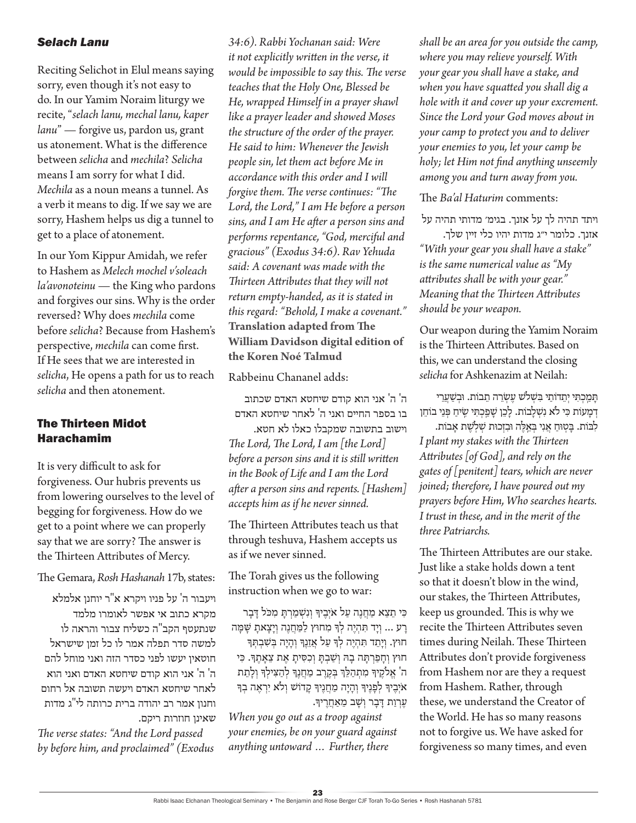#### *Selach Lanu*

Reciting Selichot in Elul means saying sorry, even though it's not easy to do. In our Yamim Noraim liturgy we recite, "*selach lanu, mechal lanu, kaper lanu*" — forgive us, pardon us, grant us atonement. What is the difference between *selicha* and *mechila*? *Selicha* means I am sorry for what I did. *Mechila* as a noun means a tunnel. As a verb it means to dig. If we say we are sorry, Hashem helps us dig a tunnel to get to a place of atonement.

In our Yom Kippur Amidah, we refer to Hashem as *Melech mochel v'soleach la'avonoteinu* — the King who pardons and forgives our sins. Why is the order reversed? Why does *mechila* come before *selicha*? Because from Hashem's perspective, *mechila* can come first. If He sees that we are interested in *selicha*, He opens a path for us to reach *selicha* and then atonement.

#### The Thirteen Midot Harachamim

It is very difficult to ask for forgiveness. Our hubris prevents us from lowering ourselves to the level of begging for forgiveness. How do we get to a point where we can properly say that we are sorry? The answer is the Thirteen Attributes of Mercy.

The Gemara, *Rosh Hashanah* 17b, states:

ויעבור ה' על פניו ויקרא א"ר יוחנן אלמלא מקרא כתוב אי אפשר לאומרו מלמד שנתעטף הקב"ה כשליח צבור והראה לו למשה סדר תפלה אמר לו כל זמן שישראל חוטאין יעשו לפני כסדר הזה ואני מוחל להם ה' ה' אני הוא קודם שיחטא האדם ואני הוא לאחר שיחטא האדם ויעשה תשובה אל רחום וחנון אמר רב יהודה ברית כרותה לי"ג מדות שאינן חוזרות ריקם.

*The verse states: "And the Lord passed by before him, and proclaimed" (Exodus* 

*34:6). Rabbi Yochanan said: Were it not explicitly written in the verse, it would be impossible to say this. The verse teaches that the Holy One, Blessed be He, wrapped Himself in a prayer shawl like a prayer leader and showed Moses the structure of the order of the prayer. He said to him: Whenever the Jewish people sin, let them act before Me in accordance with this order and I will forgive them. The verse continues: "The Lord, the Lord," I am He before a person sins, and I am He after a person sins and performs repentance, "God, merciful and gracious" (Exodus 34:6). Rav Yehuda said: A covenant was made with the Thirteen Attributes that they will not return empty-handed, as it is stated in this regard: "Behold, I make a covenant."* **Translation adapted from The William Davidson digital edition of the Koren Noé Talmud**

Rabbeinu Chananel adds:

ה' ה' אני הוא קודם שיחטא האדם שכתוב בו בספר החיים ואני ה' לאחר שיחטא האדם וישוב בתשובה שמקבלו כאלו לא חטא. *The Lord, The Lord, I am [the Lord] before a person sins and it is still written in the Book of Life and I am the Lord after a person sins and repents. [Hashem] accepts him as if he never sinned.*

The Thirteen Attributes teach us that through teshuva, Hashem accepts us as if we never sinned.

The Torah gives us the following instruction when we go to war:

כִּי תֵצֵא מַחֲנֵה עַל אֹיְבֵיךְּ וְנִשְׁמַרְתַּ מִכֹּל דַּבַר רַע ... וְיָד תִּהְיֶה לְךָּ מִחוּץ לַמַּחֲנֶה וְיַצַאתַ שַׁמַּה חוּץ. וְיָתֵד תִּהְיֶה לְךָּ עַל אֲזֶנֵךְ וְהַיָּה בְּשֶׁבְתְּךָ חוּץ וְחָפַרְתָּה בָה וְשַׁבְתָּ וְכָסִיתָ אֶת צֵאָתֵךָ. כִּי ה' אֱלֹקֶיךָּ מִתְהַלֵּךְ בְקֶרֶב מַחֲנֵךָּ לְהַצִילִךְ וְלָתֵת אֹיְבֵיךְ לְפָנֵיךְ וְהַיַה מַחֲנֵיךְ קַדוֹשׁ וְלֹא יִרְאֶה בְךָ עֲרְוַת דַּבָר וְשָׁב מֵאַחֲרֵיךָ.

*When you go out as a troop against your enemies, be on your guard against anything untoward … Further, there* 

*shall be an area for you outside the camp, where you may relieve yourself. With your gear you shall have a stake, and when you have squatted you shall dig a hole with it and cover up your excrement. Since the Lord your God moves about in your camp to protect you and to deliver your enemies to you, let your camp be holy; let Him not find anything unseemly among you and turn away from you.*

The *Ba'al Haturim* comments:

ויתד תהיה לך על אזנך. בגימ׳ מדותי תהיה על

אזנך. כלומר י״ג מדות יהיו כלי זיין שלך. *"With your gear you shall have a stake" is the same numerical value as "My attributes shall be with your gear." Meaning that the Thirteen Attributes should be your weapon.*

Our weapon during the Yamim Noraim is the Thirteen Attributes. Based on this, we can understand the closing *selicha* for Ashkenazim at Neilah:

תּמַכִתִּי יְתֵדוֹתֵי בִּשָׁלֹש עֵשְׂרֵה תֲבוֹת. וּבִשַׁעֲרֵי דמעות כִּי לֹא נִשְׁלַבוֹת. לָכֵן שָׁפֵכְתִּי שֶׂיחַ פְּנֵי בוֹחֵן

לִבּוֹת. בַּטְוּחַ אֲנִי בְּאֵלֶה וּבִזְכוּת שִׁלְשֵׁת אָבוֹת. *I plant my stakes with the Thirteen Attributes [of God], and rely on the gates of [penitent] tears, which are never joined; therefore, I have poured out my prayers before Him, Who searches hearts. I trust in these, and in the merit of the three Patriarchs.*

The Thirteen Attributes are our stake. Just like a stake holds down a tent so that it doesn't blow in the wind, our stakes, the Thirteen Attributes, keep us grounded. This is why we recite the Thirteen Attributes seven times during Neilah. These Thirteen Attributes don't provide forgiveness from Hashem nor are they a request from Hashem. Rather, through these, we understand the Creator of the World. He has so many reasons not to forgive us. We have asked for forgiveness so many times, and even